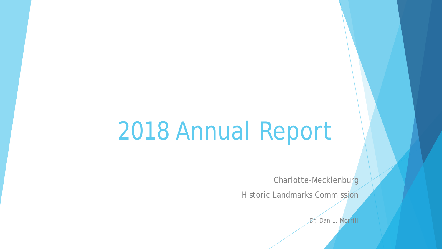## 2018 Annual Report

Charlotte-Mecklenburg

Historic Landmarks Commission

Dr. Dan L. Morrill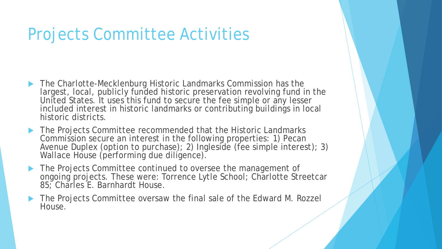## Projects Committee Activities

- ▶ The Charlotte-Mecklenburg Historic Landmarks Commission has the largest, local, publicly funded historic preservation revolving fund in the United States. It uses this fund to secure the fee simple or any lesser included interest in historic landmarks or contributing buildings in local historic districts.
- ▶ The Projects Committee recommended that the Historic Landmarks Commission secure an interest in the following properties: 1) Pecan Avenue Duplex (option to purchase); 2) Ingleside (fee simple interest); 3) Wallace House (performing due diligence).
- The Projects Committee continued to oversee the management of ongoing projects. These were: Torrence Lytle School; Charlotte Streetcar 85; Charles E. Barnhardt House.
- ▶ The Projects Committee oversaw the final sale of the Edward M. Rozzel House.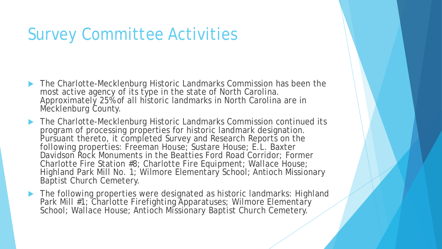## Survey Committee Activities

- ▶ The Charlotte-Mecklenburg Historic Landmarks Commission has been the most active agency of its type in the state of North Carolina. Approximately 25% of all historic landmarks in North Carolina are in Mecklenburg County.
- ▶ The Charlotte-Mecklenburg Historic Landmarks Commission continued its program of processing properties for historic landmark designation. Pursuant thereto, it completed Survey and Research Reports on the following properties: Freeman House; Sustare House; E.L. Baxter Davidson Rock Monuments in the Beatties Ford Road Corridor; Former Charlotte Fire Station #8; Charlotte Fire Equipment; Wallace House; Highland Park Mill No. 1; Wilmore Elementary School; Antioch Missionary Baptist Church Cemetery.
- ▶ The following properties were designated as historic landmarks: Highland Park Mill #1; Charlotte Firefighting Apparatuses; Wilmore Elementary School; Wallace House; Antioch Missionary Baptist Church Cemetery.